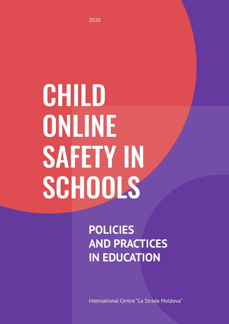# CHILD ONLINE SAFETY IN SCHOOLS

**POLICIES AND PRACTICES IN EDUCATION** 

International Centre "La Strada Moldova"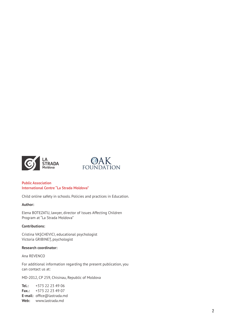



#### **Public Association International Centre "La Strada Moldova"**

Child online safety in schools. Policies and practices in Education.

#### **Author:**

Elena BOTEZATU, lawyer, director of Issues Affecting Children Program at "La Strada Moldova"

#### **Contributions:**

Cristina VAȘCHEVICI, educational psychologist Victoria GRIBINEȚ, psychologist

#### **Research coordinator:**

Ana REVENCO

For additional information regarding the present publication, you can contact us at:

MD-2012, CP 259, Chisinau, Republic of Moldova

**Tel.:** +373 22 23 49 06 **Fax.:** +373 22 23 49 07 **E-mail:** office@lastrada.md **Web:** www.lastrada.md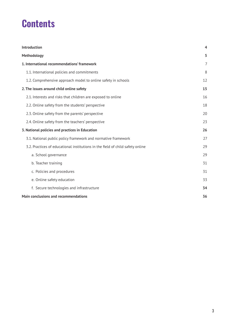# **Contents**

| Introduction                                                                   | 4  |
|--------------------------------------------------------------------------------|----|
| <b>Methodology</b>                                                             | 5  |
| 1. International recommendations' framework                                    | 7  |
| 1.1. International policies and commitments                                    | 8  |
| 1.2. Comprehensive approach model to online safety in schools                  | 12 |
| 2. The issues around child online safety                                       | 15 |
| 2.1. Interests and risks that children are exposed to online                   | 16 |
| 2.2. Online safety from the students' perspective                              | 18 |
| 2.3. Online safety from the parents' perspective                               | 20 |
| 2.4. Online safety from the teachers' perspective                              | 23 |
| 3. National policies and practices in Education                                | 26 |
| 3.1. National public policy framework and normative framework                  | 27 |
| 3.2. Practices of educational institutions in the field of child safety online | 29 |
| a. School governance                                                           | 29 |
| b. Teacher training                                                            | 31 |
| c. Policies and procedures                                                     | 31 |
| e. Online safety education                                                     | 33 |
| f. Secure technologies and infrastructure                                      | 34 |
| <b>Main conclusions and recommendations</b>                                    | 36 |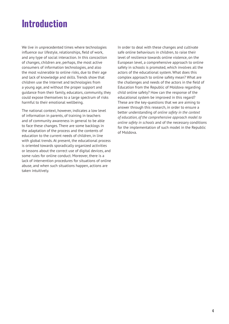# **Introduction**

We live in unprecedented times where technologies influence our lifestyle, relationships, field of work, and any type of social interaction. In this concoction of changes, children are, perhaps, the most active consumers of information technologies, and also the most vulnerable to online risks, due to their age and lack of knowledge and skills. Trends show that children use the Internet and technologies from a young age, and without the proper support and guidance from their family, educators, community, they could expose themselves to a large spectrum of risks harmful to their emotional wellbeing.

The national context, however, indicates a low level of information in parents, of training in teachers and of community awareness in general to be able to face these changes. There are some backlogs in the adaptation of the process and the contents of education to the current needs of children, in line with global trends. At present, the educational process is oriented towards sporadically organized activities or lessons about the correct use of digital devices, and some rules for online conduct. Moreover, there is a lack of intervention procedures for situations of online abuse, and when such situations happen, actions are taken intuitively.

In order to deal with these changes and cultivate safe online behaviours in children, to raise their level of resilience towards online violence, on the European level, a comprehensive approach to online safety in schools is promoted, which involves all the actors of the educational system. What does this complex approach to online safety mean? What are the challenges and needs of the actors in the field of Education from the Republic of Moldova regarding child online safety? How can the response of the educational system be improved in this regard? These are the key-questions that we are aiming to answer through this research, in order to ensure a better understanding of *online safety in the context of education, of the comprehensive approach model to online safety in schools* and of the necessary conditions for the implementation of such model in the Republic of Moldova.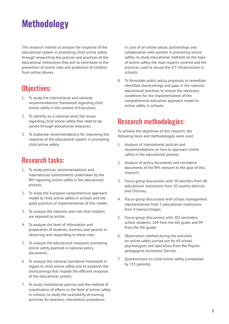# **Methodology**

This research intends to analyse the response of the educational system in promoting child online safety through researching the policies and practices of the educational institutions that aim to contribute to the prevention of online risks and protection of children from online abuses.

## Objectives:

- 1. To study the international and national recommendations' framework regarding child online safety in the context of Education;
- 2. To identify, on a national level, the issues regarding child online safety that need to be solved through educational measures;
- 3. To elaborate recommendations for improving the response of the educational system in promoting child online safety.

## Research tasks:

- 1. To study policies, recommendations and international commitments undertaken by the RM regarding online safety in the educational process;
- 2. To study the European comprehensive approach model to child online safety in schools and the good practices of implementation of this model;
- 3. To analyse the interests and risks that children are exposed to online;
- 4. To analyse the level of information and preparation of students, teachers and parents in observing and responding to these risks;
- 5. To analyse the educational measures promoting online safety planned in national policy documents;
- 6. To analyse the national normative framework in regard to child online safety and to establish the shortcomings that impede the efficient response of the educational system;
- 7. To study institutional policies and the method of coordination of efforts in the field of online safety in schools; to study the availability of training activities for teachers, intervention procedures

in case of an online abuse, partnerships and collaboration with parents in promoting online safety; to study educational methods on the topic of online safety, the main aspects covered and the practices used to secure the ICT infrastructure in schools;

8. To formulate public policy proposals to remediate identified shortcomings and gaps in the national educational practices to ensure the necessary conditions for the implementation of the comprehensive education approach model to online safety in schools.

## Research methodologies:

To achieve the objectives of this research, the following tools and methodologies were used:

- 1. Analysis of international policies and recommendations on how to approach online safety in the educational process;
- 2. Analysis of policy documents and normative documents of the RM, relevant to the goal of this research;
- 3. Focus-group discussions with 50 teachers from 48 educational institutions from 20 country districts and Chisinau;
- 4. Focus-group discussions with school management representatives from 5 educational institutions from 4 towns/villages;
- 5. Focus-group discussions with 203 secondary school students: 104 from the 6th grade and 99 from the 9th grade;
- 6. Observation method during the activities on online safety carried out for 69 school psychologists and specialists from the Psychopedagogical Assistance Service;
- 7. Questionnaire on child online safety (completed by 153 parents).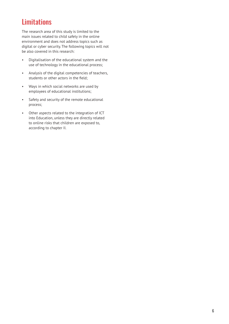## **Limitations**

The research area of this study is limited to the main issues related to child safety in the online environment and does not address topics such as digital or cyber security. The following topics will not be also covered in this research:

- Digitalisation of the educational system and the use of technology in the educational process;
- Analysis of the digital competencies of teachers, students or other actors in the field;
- Ways in which social networks are used by employees of educational institutions;
- Safety and security of the remote educational process;
- Other aspects related to the integration of ICT into Education, unless they are directly related to online risks that children are exposed to, according to chapter II.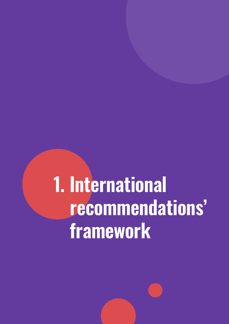# **1. International recommendations' framework**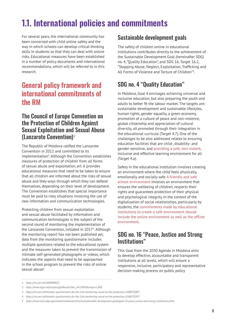# **1.1. International policies and commitments**

For several years, the international community has been concerned with child online safety and the way in which schools can develop critical thinking skills in students so that they can deal with online risks. Educational measures have been established in a number of policy documents and international recommendations, which will be referred to in this research.

## General policy framework and international commitments of the RM

## The Council of Europe Convention on the Protection of Children Against Sexual Exploitation and Sexual Abuse (Lanzarote Convention)**<sup>1</sup>**

The Republic of Moldova ratified the Lanzarote Convention in 2012 and committed to its implementation**<sup>2</sup>** . Although the Convention establishes measures of protection of children from all forms of sexual abuse and exploitation, art. 6 provides educational measures that need to be taken to ensure that all children are informed about the risks of sexual abuse and they ways through which they can defend themselves, depending on their level of development. The Convention establishes that special importance must be paid to risky situations involving the use of new information and communication technologies.

Protecting children from sexual exploitation and sexual abuse facilitated by information and communication technologies is the subject of the second round of monitoring the implementation of the Lanzarote Convention, initiated in 2017**<sup>3</sup>** . Although the monitoring report has not been published yet, data from the monitoring questionnaire includes multiple questions related to the educational system and the measures taken to prevent the transmission of intimate self-generated photographs or videos, which indicates the aspects that need to be approached in the school program to prevent the risks of online sexual abuse**<sup>4</sup>** .

## Sustainable development goals

The safety of children online in educational institutions contributes directly to the achievement of the Sustainable Development Goal (hereinafter SDG) no. 4, "Quality Education", and SDG 16, Target 16.2, "Stopping Abuse, Neglect, Exploitation, Trafficking and All Forms of Violence and Torture of Children"**<sup>5</sup>** .

## SDG no. 4 "Quality Education"

In Moldova, Goal 4 envisages achieving universal and inclusive education, but also preparing the youth and adults to better fit the labour market. The targets are: sustainable development and sustainable lifestyles, human rights, gender equality, a green economy, promotion of a culture of peace and non-violence, global citizenship and appreciation of cultural diversity, all promoted through their integration in the educational curricula (Target 4.7). One of the challenges to be also addressed relates to ensuring education facilities that are child-, disability- and gender-sensitive, and providing a safe, non-violent, inclusive and effective learning environment for all (Target 4.a).

Safety in the educational institution involves creating an environment where the child feels physically, emotionally and socially safe. A friendly and safe school environment involves an environment that ensures the wellbeing of children, respects their rights and guarantees protection of their physical and psychological integrity. In the context of the digitalization of social relationships, particularly by students, the commitments made by educational institutions to create a safe environment should include the online environment as well as the offline environment.

## SDG no. 16 "Peace, Justice and Strong Institutions"

This Goal from the 2030 Agenda in Moldova aims to develop effective, accountable and transparent institutions at all levels, which will ensure a responsive, inclusive, participatory and representative decision-making process on public policy

*<sup>1</sup> https://rm.coe.int/1680084822*

*<sup>2</sup> https://www.legis.md/cautare/getResults?doc\_id=13045&lang=ro (RO)*

*<sup>3</sup> https://rm.coe.int/thematic-questionnaire-for-the-2nd-monitoring-round-on-the-protection-/168075f307*

*<sup>4</sup> https://rm.coe.int/thematic-questionnaire-for-the-2nd-monitoring-round-on-the-protection-/168075f307*

*<sup>5</sup> https://www.md.undp.org/content/moldova/en/home/sustainable-development-goals/goal-16-peace-justice-and-strong-institutions.html*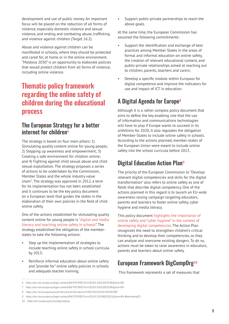development and use of public money. An important focus will be placed on the reduction of all forms of violence, especially domestic violence and sexual violence, and ending and combating abuse, trafficking and violence against children (Target 16.2).

Abuse and violence against children can be manifested in schools, where they should be protected and cared for, at home or in the online environment. "Moldova 2030" is an opportunity to elaborate policies that would protect children from all forms of violence, including online violence.

## Thematic policy framework regarding the online safety of children during the educational process

## The European Strategy for a better internet for children**<sup>6</sup>**

The strategy is based on four main pillars: 1) Stimulating quality content online for young people; 2) Stepping up awareness and empowerment; 3) Creating a safe environment for children online; and 4) Fighting against child sexual abuse and child sexual exploitation. The strategy proposes a series of actions to be undertaken by the Commission, Member States and the whole industry value chain**<sup>7</sup>** . The strategy was approved in 2012, a term for its implementation has not been established and it continues to be the key policy document on a European level that guides the states in the elaboration of their own policies in the field of child online safety.

One of the actions established for stimulating quality content online for young people is "digital and media literacy and teaching online safety in schools". The strategy established the obligation of the memberstates to take the following actions:

- Step up the implementation of strategies to include teaching online safety in school curricula by 2013;
- Reinforce informal education about online safety and "provide for" online safety policies in schools and adequate teacher training;

Support public-private partnerships to reach the above goals.

At the same time, the European Commission has assumed the following commitments:

- Support the identification and exchange of best practices among Member States in the areas of formal and informal education on online safety, the creation of relevant educational content, and public-private relationships aimed at reaching out to children, parents, teachers and carers;
- Develop a specific module within Europass for digital competence and improve the indicators for use and impact of ICT in education.

## A Digital Agenda for Europe**<sup>8</sup>**

Although it is a rather complex policy document that aims to define the key enabling role that the use of information and communications technologies will have to play if Europe wants to succeed in its ambitions for 2020, it also regulates the obligation of Member-States to include online safety in schools. According to the actions planned, member-states of the European Union were meant to include online safety into the school curricula before 2013.

## Digital Education Action Plan**<sup>9</sup>**

The priority of the European Commission to "Develop relevant digital competencies and skills for the digital transformation" also refers to online safety as one of fields that describe digital competency. One of the actions planned in this regard is to launch an EU-wide awareness-raising campaign targeting educators, parents and learners to foster online safety, cyber hygiene and media literacy.

This policy document highlights the importance of online safety and "cyber hygiene" in the context of developing digital competencies. The Action Plan recognizes the need to strengthen children's critical thinking and to develop their competencies, so they can analyse and overcome existing dangers. To do so, actions must be taken to raise awareness in educators, parents and learners about online safety.

## European Framework DigCompOrg**<sup>10</sup>**

This framework represents a set of measures that

*<sup>6</sup> https://eur-lex.europa.eu/legal-content/EN/TXT/PDF/?uri=CELEX:52012DC0196&from=EN*

*<sup>7</sup> https://eur-lex.europa.eu/legal-content/EN/TXT/PDF/?uri=CELEX:52012DC0196&from=EN*

*<sup>8</sup> https://eur-lex.europa.eu/LexUriServ/LexUriServ.do?uri=COM:2010:0245:FIN:EN:PDF*

*<sup>9</sup> https://eur-lex.europa.eu/legal-content/EN/TXT/PDF/?uri=CELEX:52018DC0022&from=EN #footnoteref21*

*<sup>10</sup> https://ec.europa.eu/jrc/en/digcomporg*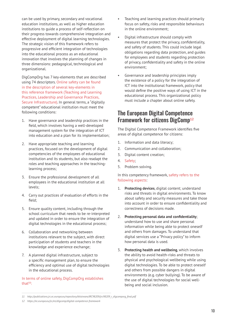can be used by primary, secondary and vocational education institutions, as well as higher education institutions to guide a process of self-reflection on their progress towards comprehensive integration and effective deployment of digital learning technologies. The strategic vision of this framework refers to progressive and efficient integration of technologies into the educational process as an educational innovation that involves the planning of changes in three dimensions: pedagogical, technological and organizational.

DigCompOrg has 7 key-elements that are described using 74 descriptors. Online safety can be found in the description of several key-elements in this reference framework (Teaching and Learning Practices, Leadership and Governance Practices, Secure Infrastructure). In general terms, a "digitally competent" educational institution must meet the following conditions:

- 1. Have governance and leadership practices in the field, which involves having a well-developed management system for the integration of ICT into education and a plan for its implementation;
- 2. Have appropriate teaching and learning practices, focused on the development of digital competencies of the employees of educational institution and its students, but also readapt the roles and teaching approaches in the teachinglearning process;
- 3. Ensure the professional development of all employees in the educational institution at all levels;
- 4. Carry out practices of evaluation of efforts in the field;
- 5. Ensure quality content, including through the school curriculum that needs to be re-interpreted and updated in order to ensure the integration of digital technologies in the educational process;
- 6. Collaboration and networking between institutions relevant to the subject, with direct participation of students and teachers in the knowledge and experience exchange;
- 7. A planned digital infrastructure, subject to a specific management plan, to ensure the efficiency and optimal use of digital technologies in the educational process.

#### In terms of online safety, DigCompOrg establishes that**11**:

- Teaching and learning practices should primarily focus on safety, risks and responsible behaviours in the online environment;
- Digital infrastructure should comply with measures that protect the privacy, confidentiality, and safety of students. This could include legal obligations regarding data protection, and guides for employees and students regarding protection of privacy, confidentiality and safety in the online environment;
- Governance and leadership principles imply the existence of a policy for the integration of ICT into the institutional framework, policy that would define the positive ways of using ICT in the educational process. This organizational policy must include a chapter about online safety.

### The European Digital Competence Framework for citizens DigComp**<sup>12</sup>**

The Digital Competence Framework identifies five areas of digital competence for citizens:

- 1. Information and data literacy;
- 2. Communication and collaboration;
- 3. Digital content creation;
- 4. Safety;
- 5. Problem solving.

#### In this competency framework, safety refers to the following aspects:

- 1. **Protecting devices**, digital content; understand risks and threats in digital environments. To know about safety and security measures and take those into account in order to ensure confidentiality and correctness of decisions made.
- 2. **Protecting personal data and confidentiality**; understand how to use and share personal information while being able to protect oneself and others from damages. To understand that digital services use a "Privacy policy" to inform how personal data is used.
- 3. **Protecting health and wellbeing**, which involves the ability to avoid health-risks and threats to physical and psychological wellbeing while using digital technologies. To be able to protect oneself and others from possible dangers in digital environments (e.g. cyber bullying). To be aware of the use of digital technologies for social wellbeing and social inclusion.

*<sup>11</sup> http://publications.jrc.ec.europa.eu/repository/bitstream/JRC98209/jrc98209\_r\_digcomporg\_final.pdf*

*<sup>12</sup> https://ec.europa.eu/jrc/en/digcomp/digital-competence-framework*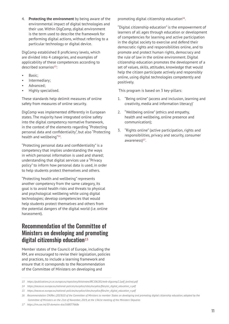4. **Protecting the environment** by being aware of the environmental impact of digital technologies and their use. Within DigComp, digital environment is the term used to describe the framework for performing digital actions, without referring to a particular technology or digital device.

DigComp established 8 proficiency levels, which are divided into 4 categories, and examples of applicability of these competences according to described scenarios**13**:

- Basic;
- Intermediary;
- Advanced;
- Highly specialised.

These standards help delimit measures of online safety from measures of online security.

DigComp was implemented differently in European states. The majority have integrated online safety into the digital competency normative framework, in the context of the elements regarding "Protecting personal data and confidentiality", but also "Protecting health and wellbeing"**14**.

"Protecting personal data and confidentiality" is a competency that implies understanding the ways in which personal information is used and shared; understanding that digital services use a "Privacy policy" to inform how personal data is used, in order to help students protect themselves and others.

"Protecting health and wellbeing" represents another competency from the same category, its goal is to avoid health risks and threats to physical and psychological wellbeing while using digital technologies; develop competencies that would help students protect themselves and others from the potential dangers of the digital world (i.e. online harassment).

## Recommendation of the Committee of Ministers on developing and promoting digital citizenship education**<sup>15</sup>**

Member states of the Council of Europe, including the RM, are encouraged to revise their legislation, policies and practices, to include a learning framework and ensure that it corresponds to the Recommendation of the Committee of Ministers on developing and

promoting digital citizenship education**16**.

"Digital citizenship education" is the empowerment of learners of all ages through education or development of competencies for learning and active participation in the digital society to exercise and defend their democratic rights and responsibilities online, and to promote and protect human rights, democracy and the rule of law in the online environment. Digital citizenship education promotes the development of a set of values, skills, attitudes, knowledge that would help the citizen participate actively and responsibly online, using digital technologies competently and positively.

This program is based on 3 key-pillars:

- 1. "Being online" (access and inclusion, learning and creativity, media and information literacy)'
- 2. "Wellbeing online" (ethics and empathy, health and wellbeing, online presence and communication);
- 3. "Rights online" (active participation, rights and responsibilities, privacy and security, consumer awareness)**17**.

*<sup>13</sup> https://publications.jrc.ec.europa.eu/repository/bitstream/JRC106281/web-digcomp2.1pdf\_(online).pdf*

*<sup>14</sup> https://eacea.ec.europa.eu/national-policies/eurydice/sites/eurydice/files/en\_digital\_education\_n.pdf*

*<sup>15</sup> https://eacea.ec.europa.eu/national-policies/eurydice/sites/eurydice/files/en\_digital\_education\_n.pdf*

*<sup>16</sup> Recommendation CM/Rec (2019)10 of the Committee of Ministers to member States on developing and promoting digital citizenship education, adopted by the Committee of Ministers on the 21st of November, 2019, at the 1361st meeting of the Ministers' Deputies*

*<sup>17</sup> https://rm.coe.int/10-domains-dce/168077668e*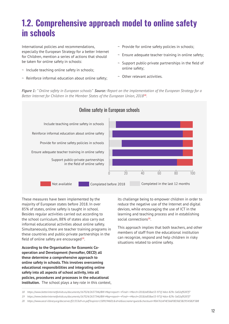# **1.2. Comprehensive approach model to online safety in schools**

International policies and recommendations, especially the European Strategy for a better Internet for Children, mention a series of actions that should be taken for online safety in schools:

- ~ Include teaching online safety in schools;
- ~ Reinforce informal education about online safety;
- ~ Provide for online safety policies in schools;
- ~ Ensure adequate teacher training in online safety;
- $\sim$  Support public-private partnerships in the field of online safety;
- ~ Other relevant activities.

*Figure 1: " Online safety in European schools" Source: Report on the implementation of the European Strategy for a Better Internet for Children in the Member States of the European Union, 2018***18***.*



These measures have been implemented by the majority of European states before 2018. In over 85% of states, online safety is taught in school. Besides regular activities carried out according to the school curriculum, 88% of states also carry out informal educational activities about online safety. Simultaneously, there are teacher training programs in these countries and public-private partnerships in the field of online safety are encouraged**19**.

**According to the Organisation for Economic Cooperation and Development (hereafter, OECD) all these determine a comprehensive approach to online safety in schools. This involves overcoming educational responsibilities and integrating online safety into all aspects of school activity, into all policies, procedures and processes in the educational institution.** The school plays a key role in this context, its challenge being to empower children in order to reduce the negative use of the Internet and digital devices, while encouraging the use of ICT in the learning and teaching process and in establishing social connections**20**.

This approach implies that both teachers, and other members of staff from the educational institution can recognize, respond and help children in risky situations related to online safety.

*<sup>18</sup> https://www.betterinternetforkids.eu/documents/167024/2637346/BIK+Map+report+-+Final+-+March+2018/a858ae53-971f-4dce-829c-5a02af9287f7*

*<sup>19</sup> https://www.betterinternetforkids.eu/documents/167024/2637346/BIK+Map+report+-+Final+-+March+2018/a858ae53-971f-4dce-829c-5a02af9287f7*

*<sup>20</sup> https://www.oecd-ilibrary.org/docserver/f21353a9-en.pdf?expires=1589194601&id=id&accname=guest&checksum=90A761AF4E566F8D36E5B29545B2F5B8*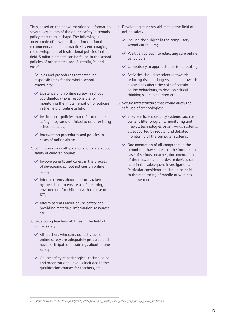Thus, based on the above-mentioned information, several key-pillars of the online safety in schools policy start to take shape. The following is an example of how the UK put international recommendations into practice, by encouraging the development of institutional policies in the field. Similar elements can be found in the school policies of other states, too (Australia, Poland, etc.)**21**:

- 1. Policies and procedures that establish responsibilities for the whole school community:
	- $\vee$  Existence of an online safety in school coordinator, who is responsible for monitoring the implementation of policies in the field of online safety;
	- $\vee$  Institutional policies that refer to online safety integrated or linked to other existing school policies;
	- $\blacktriangleright$  Intervention procedures and policies in cases of online abuse.
- 2. Communication with parents and carers about safety of children online:
	- $\blacktriangleright$  Involve parents and carers in the process of developing school policies on online safety;
	- $\blacktriangleright$  Inform parents about measures taken by the school to ensure a safe learning environment for children with the use of ICT;
	- $\blacktriangleright$  Inform parents about online safety and providing materials, information, resources etc.
- 3. Developing teachers' abilities in the field of online safety:
	- $\blacktriangleright$  All teachers who carry out activities on online safety are adequately prepared and have participated in trainings about online safety;
	- $\vee$  Online safety at pedagogical, technological and organizational level is included in the qualification courses for teachers, etc.
- 4. Developing students' abilities in the field of online safety:
	- $\blacktriangleright$  Include the subject in the compulsory school curriculum;
	- $\vee$  Positive approach to educating safe online behaviours;
	- $\triangleright$  Compulsory to approach the risk of sexting;
	- Activities should be oriented towards reducing risks or dangers, but also towards discussions about the risks of certain online behaviours, to develop critical thinking skills in children etc.
- 5. Secure infrastructure that would allow the safe use of technologies:
	- $\blacktriangleright$  Ensure efficient security systems, such as content filter programs, monitoring and firewall technologies or anti-virus systems, all supported by regular and detailed monitoring of the computer systems;
	- $\vee$  Documentation of all computers in the school that have access to the internet. In case of serious breaches, documentation of the network and hardware devices can help in the subsequent investigations. Particular consideration should be paid to the monitoring of mobile or wireless equipment etc.

*<sup>21</sup> https://www.aoc.co.uk/sites/default/files/E\_Safety\_Developing\_whole\_school\_policies\_to\_support\_effective\_practice.pdf*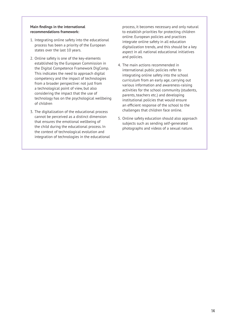#### **Main findings in the international recommendations framework:**

- 1. Integrating online safety into the educational process has been a priority of the European states over the last 10 years.
- 2. Online safety is one of the key-elements established by the European Commission in the Digital Competence Framework DigComp. This indicates the need to approach digital competency and the impact of technologies from a broader perspective: not just from a technological point of view, but also considering the impact that the use of technology has on the psychological wellbeing of children
- 3. The digitalization of the educational process cannot be perceived as a distinct dimension that ensures the emotional wellbeing of the child during the educational process. In the context of technological evolution and integration of technologies in the educational

process, it becomes necessary and only natural to establish priorities for protecting children online. European policies and practices integrate online safety in all education digitalization trends, and this should be a key aspect in all national educational initiatives and policies.

- 4. The main actions recommended in international public policies refer to integrating online safety into the school curriculum from an early age, carrying out various information and awareness-raising activities for the school community (students, parents, teachers etc.) and developing institutional policies that would ensure an efficient response of the school to the challenges that children face online.
- 5. Online safety education should also approach subjects such as sending self-generated photographs and videos of a sexual nature.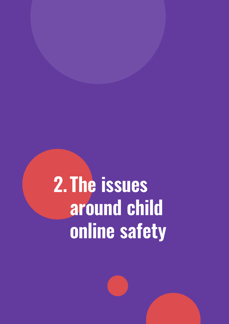# **2. The issues around child online safety**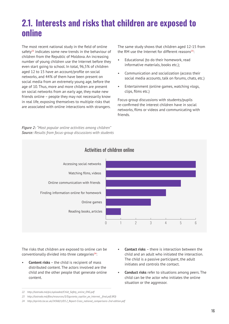# **2.1. Interests and risks that children are exposed to online**

The most recent national study in the field of online safety**22** indicates some new trends in the behaviour of children from the Republic of Moldova. An increasing number of young children use the Internet before they even start going to school. In total, 96,5% of children aged 12 to 15 have an account/profile on social networks, and 44% of them have been present on social media from an extremely young age, before the age of 10. Thus, more and more children are present on social networks from an early age, they make new friends online – people they may not necessarily know in real life, exposing themselves to multiple risks that are associated with online interactions with strangers.

*Figure 2: "Most popular online activities among children" Source: Results from focus-group discussions with students* 

The same study shows that children aged 12-15 from the RM use the Internet for different reasons**23**:

- Educational (to do their homework, read informative materials, books etc.);
- Communication and socialization (access their social media accounts, talk on forums, chats, etc.)
- Entertainment (online games, watching vlogs, clips, films etc.)

Focus-group discussions with students/pupils re-confirmed the interest children have in social networks, films or videos and communicating with friends.



The risks that children are exposed to online can be conventionally divided into three categories**24**:

**Content risks** – the child is recipient of mass distributed content. The actors involved are the child and the other people that generate online content.

• **Conduct risks** refer to situations among peers. The child can be the actor who initiates the online situation or the aggressor.

**Contact risks** – there is interaction between the child and an adult who initiated the interaction. The child is a passive participant, the adult initiates and controls the contact.

*<sup>22</sup> http://lastrada.md/pic/uploaded/Child\_Safety\_online\_ENG.pdf*

*<sup>23</sup> http://lastrada.md/files/resources/3/Siguranta\_copiilor\_pe\_Internet\_\_final.pdf (RO)*

*<sup>24</sup> http://eprints.lse.ac.uk/24368/1/D3.2\_Report-Cross\_national\_comparisons-2nd-edition.pdf*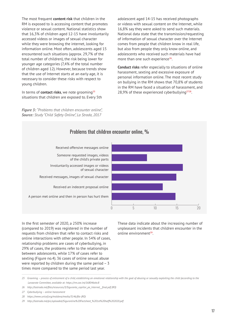The most frequent **content risk** that children in the RM is exposed to is accessing content that promotes violence or sexual content. National statistics show that 16,3% of children aged 12-15 have involuntarily accessed videos or images of sexual character while they were browsing the internet, looking for information online. Most often, adolescents aged 15 encountered such situations (approx. 29,7% of the total number of children), the risk being lower for younger age categories (7,4% of the total number of children aged 12). However, because trends show that the use of Internet starts at an early age, it is necessary to consider these risks with respect to young children.

In terms of **contact risks**, we note grooming**<sup>25</sup>** situations that children are exposed to. Every 5th

*Figure 3: "Problems that children encounter online", Source: Study "Child Safety Online", La Strada, 2017*

adolescent aged 14-15 has received photographs or videos with sexual content on the Internet, while 16,8% say they were asked to send such materials. National data state that the transmission/requesting of information of sexual character over the Internet comes from people that children know in real life, but also from people they only know online, and adolescents who received such materials have had more than one such experience**26**.

**Conduct risks** refer especially to situations of online harassment, sexting and excessive exposure of personal information online. The most recent study on bullying in the RM shows that 70,8% of students in the RM have faced a situation of harassment, and 28,9% of these experienced cyberbullying**2728**.



In the first semester of 2020, a 250% increase (compared to 2019) was registered in the number of requests from children that refer to contact risks and online interactions with other people. In 54% of cases, relationship problems are cases of cyberbullying, in 29% of cases, the problems refer to the relationships between adolescents, while 17% of cases refer to sexting (Figure no.4). 36 cases of online sexual abuse were reported by children during the same period – 3 times more compared to the same period last year.

These data indicate about the increasing number of unpleasant incidents that children encounter in the online environment**29**.

*28 https://www.unicef.org/moldova/media/3146/file (RO)*

*<sup>25</sup> Grooming – process of enticement of a child, establishing an emotional relationship with the goal of abusing or sexually exploiting the child (according to the Lanzarote Committee, available at: https://rm.coe.int/168046ebc8*

*<sup>26</sup> http://lastrada.md/files/resources/3/Siguranta\_copiilor\_pe\_Internet\_\_final.pdf (RO)*

*<sup>27</sup> Cyberbullying – online harassment*

*<sup>29</sup> http://lastrada.md/pic/uploaded/Siguronline%20Factsheet\_%201st%20half%202020.pdf*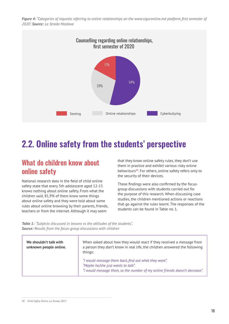Figure 4: "Categories of requests referring to online relationships on the www.siguronline.md platform, first semester of *2020", Source: La Strada Moldova*



## **2.2. Online safety from the students' perspective**

## What do children know about online safety

National research data in the field of child online safety state that every 5th adolescent aged 12-15 knows nothing about online safety. From what the children said, 81,9% of them know some things about online safety and they were told about some rules about online browsing by their parents, friends, teachers or from the internet. Although it may seem

that they know online safety rules, they don't use them in practice and exhibit various risky online behaviours**30**. For others, online safety refers only to the security of their devices.

These findings were also confirmed by the focusgroup discussions with students carried out for the purpose of this research. When discussing case studies, the children mentioned actions or reactions that go against the rules learnt. The responses of the students can be found in Table no. 1.

*Table 1: "Subjects discussed in lessons vs the attitudes of the students", Source: Results from the focus-group discussions with children*

| We shouldn't talk with<br>unknown people online. | When asked about how they would react if they received a message from<br>a person they don't know in real life, the children answered the following<br>things:              |
|--------------------------------------------------|-----------------------------------------------------------------------------------------------------------------------------------------------------------------------------|
|                                                  | "I would message them back, find out what they want".<br>"Maybe he/she just wants to talk".<br>"I would message them, so the number of my online friends doesn't decrease". |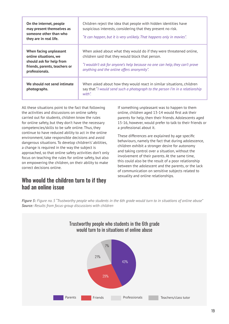| On the internet, people<br>may present themselves as<br>someone other than who<br>they are in real life.                       | Children reject the idea that people with hidden identities have<br>suspicious interests, considering that they present no risk.<br>"It can happen, but it is very unlikely. That happens only in movies".                                           |
|--------------------------------------------------------------------------------------------------------------------------------|------------------------------------------------------------------------------------------------------------------------------------------------------------------------------------------------------------------------------------------------------|
| When facing unpleasant<br>online situations, we<br>should ask for help from<br>friends, parents, teachers or<br>professionals. | When asked about what they would do if they were threatened online,<br>children said that they would block that person.<br>"I wouldn't ask for anyone's help because no one can help, they can't prove<br>anything and the online offers anonymity". |
| We should not send intimate<br>photographs.                                                                                    | When asked about how they would react in similar situations, children<br>say that "I would send such a photograph to the person I'm in a relationship<br>with".                                                                                      |

All these situations point to the fact that following the activities and discussions on online safety carried out for students, children know the rules for online safety, but they don't have the necessary competencies/skills to be safe online. Thus, they continue to have reduced ability to act in the online environment, take responsible decisions and avoid dangerous situations. To develop children's' abilities, a change is required in the way the subject is approached, so that online safety activities don't only focus on teaching the rules for online safety, but also on empowering the children, on their ability to make correct decisions online.

## Who would the children turn to if they had an online issue

If something unpleasant was to happen to them online, children aged 13-14 would first ask their parents for help, then their friends. Adolescents aged 15-16, however, would prefer to talk to their friends or a professional about it.

These differences are explained by age specific behaviours, namely the fact that during adolescence, children exhibit a stronger desire for autonomy and taking control over a situation, without the involvement of their parents. At the same time, this could also be the result of a poor relationship between the adolescent and the parents, or the lack of communication on sensitive subjects related to sexuality and online relationships.

*Figure 5: Figure no. 5 "Trustworthy people who students in the 6th grade would turn to in situations of online abuse" Source: Results from focus-group discussions with children*

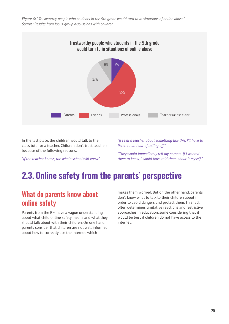*Figure 6: " Trustworthy people who students in the 9th grade would turn to in situations of online abuse" Source: Results from focus-group discussions with children*



In the last place, the children would talk to the class tutor or a teacher. Children don't trust teachers because of the following reasons:

*"If the teacher knows, the whole school will know."*

*"If I tell a teacher about something like this, I'll have to listen to an hour of telling off."* 

*"They would immediately tell my parents. If I wanted them to know, I would have told them about it myself."*

# **2.3. Online safety from the parents' perspective**

## What do parents know about online safety

Parents from the RM have a vague understanding about what child online safety means and what they should talk about with their children. On one hand, parents consider that children are not well informed about how to correctly use the internet, which

makes them worried. But on the other hand, parents don't know what to talk to their children about in order to avoid dangers and protect them. This fact often determines limitative reactions and restrictive approaches in education, some considering that it would be best if children do not have access to the internet.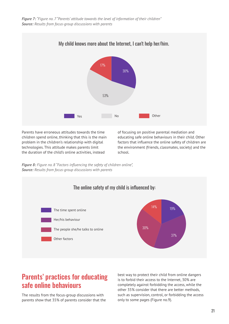*Figure 7: "Figure no. 7 "Parents' attitude towards the level of information of their children" Source: Results from focus-group discussions with parents* 



Parents have erroneous attitudes towards the time children spend online, thinking that this is the main problem in the children's relationship with digital technologies. This attitude makes parents limit the duration of the child's online activities, instead

of focusing on positive parental mediation and educating safe online behaviours in their child. Other factors that influence the online safety of children are the environment (friends, classmates, society) and the school.

*Figure 8: Figure no. 8 "Factors influencing the safety of children online", Source: Results from focus-group discussions with parents* 



## Parents' practices for educating safe online behaviours

The results from the focus-group discussions with parents show that 35% of parents consider that the best way to protect their child from online dangers is to forbid their access to the Internet, 30% are completely against forbidding the access, while the other 35% consider that there are better methods, such as supervision, control, or forbidding the access only to some pages (Figure no.9).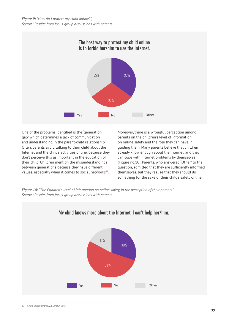

One of the problems identified is the "generation gap" which determines a lack of communication and understanding in the parent-child relationship. Often, parents avoid talking to their child about the Internet and the child's activities online, because they don't perceive this as important in the education of their child. Children mention the misunderstandings between generations because they have different values, especially when it comes to social networks**31**.

Moreover, there is a wrongful perception among parents on the children's level of information on online safety and the role they can have in guiding them. Many parents believe that children already know enough about the internet, and they can cope with internet problems by themselves (Figure no.10). Parents, who answered "Other" to the question, admitted that they are sufficiently informed themselves, but they realize that they should do something for the sake of their child's safety online.

*Figure 10: "The Children's level of information on online safety, in the perception of their parents", Source: Results from focus-group discussions with parents*

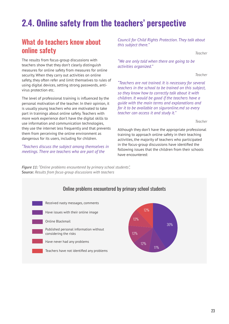# **2.4. Online safety from the teachers' perspective**

## What do teachers know about online safety

The results from focus-group discussions with teachers show that they don't clearly distinguish measures for online safety from measures for online security. When they carry out activities on online safety, they often refer and limit themselves to rules of using digital devices, setting strong passwords, antivirus protection etc.

The level of professional training is influenced by the personal motivation of the teacher. In their opinion, it is usually young teachers who are motivated to take part in trainings about online safety. Teachers with more work experience don't have the digital skills to use information and communication technologies, they use the internet less frequently and that prevents them from perceiving the online environment as dangerous for its users, including for children.

*"Teachers discuss the subject among themselves in meetings. There are teachers who are part of the* 

*Figure 11: "Online problems encountered by primary school students",* **Source:** *Results from focus-group discussions with teachers*

*Council for Child Rights Protection. They talk about this subject there."*

*Teacher*

*"We are only told when there are going to be activities organized."* 

*Teacher*

*"Teachers are not trained. It is necessary for several teachers in the school to be trained on this subject, so they know how to correctly talk about it with children. It would be good if the teachers have a guide with the main terms and explanations and for it to be available on siguronline.md so every teacher can access it and study it."* 

*Teacher* 

Although they don't have the appropriate professional training to approach online safety in their teaching activities, the majority of teachers who participated in the focus-group discussions have identified the following issues that the children from their schools have encountered:

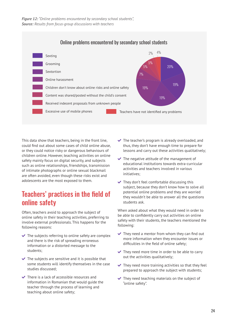

This data show that teachers, being in the front line, could find out about some cases of child online abuse, or they could notice risky or dangerous behaviours of children online. However, teaching activities on online safety mainly focus on digital security, and subjects such as online relationships, friendships, transmission of intimate photographs or online sexual blackmail are often avoided, even though these risks exist and adolescents are the most exposed to them.

## Teachers' practices in the field of online safety

Often, teachers avoid to approach the subject of online safety in their teaching activities, preferring to involve external professionals. This happens for the following reasons:

- $\vee$  The subjects referring to online safety are complex and there is the risk of spreading erroneous information or a distorted message to the students;
- $\triangleright$  The subjects are sensitive and it is possible that some students will identify themselves in the case studies discussed;
- $\vee$  There is a lack of accessible resources and information in Romanian that would guide the teacher through the process of learning and teaching about online safety;
- $\vee$  The teacher's program is already overloaded, and thus, they don't have enough time to prepare for lessons and carry out these activities qualitatively;
- $\blacktriangleright$  The negative attitude of the management of educational institutions towards extra-curricular activities and teachers involved in various initiatives;
- $\blacktriangleright$  They don't feel comfortable discussing this subject, because they don't know how to solve all potential online problems and they are worried they wouldn't be able to answer all the questions students ask.

When asked about what they would need in order to be able to confidently carry out activities on online safety with their students, the teachers mentioned the following:

- $\blacktriangleright$  They need a mentor from whom they can find out more information when they encounter issues or difficulties in the field of online safety;
- $\blacktriangleright$  They need more time in order to be able to carry out the activities qualitatively;
- $\blacktriangleright$  They need more training activities so that they feel prepared to approach the subject with students;
- $\vee$  They need teaching materials on the subject of "online safety".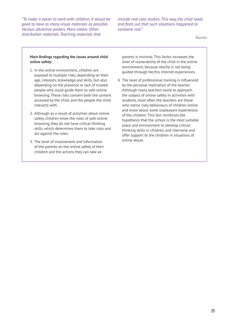*"To make it easier to work with children, it would be good to have as many visual materials as possible. Various attractive posters. More videos. Other distribution materials. Teaching materials that* 

*include real case studies. This way, the child reads and finds out that such situations happened to someone real."* 

*Teacher*

#### **Main findings regarding the issues around child online safety:**

- 1. In the online environment, children are exposed to multiple risks, depending on their age, interests, knowledge and skills, but also depending on the presence or lack of trusted people who could guide them to safe online browsing. These risks concern both the content accessed by the child, and the people the child interacts with.
- 2. Although as a result of activities about online safety, children know the rules of safe online browsing, they do not have critical thinking skills, which determines them to take risks and act against the rules.
- 3. The level of involvement and information of the parents on the online safety of their children and the actions they can take as

parents is minimal. This factor increases the level of vulnerability of the child in the online environment, because she/he is not being guided through her/his Internet experiences.

4. The level of professional training is influenced by the personal motivation of the teacher. Although many teachers avoid to approach the subject of online safety in activities with students, most often the teachers are those who notice risky behaviours of children online and know about some unpleasant experiences of the children. This fact reinforces the hypothesis that the school is the most suitable place and environment to develop critical thinking skills in children, and intervene and offer support to the children in situations of online abuse.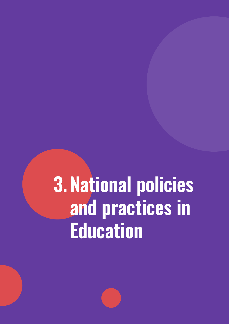# **3.National policies and practices in Education**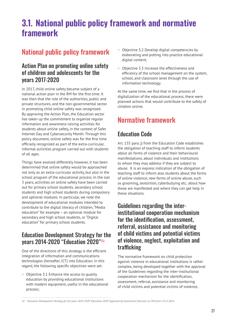## **3.1. National public policy framework and normative framework**

## National public policy framework

## Action Plan on promoting online safety of children and adolescents for the years 2017-2020

In 2017, child online safety became subject of a national action plan in the RM for the first time. It was then that the role of the authorities, public and private structures, and the non-governmental sector in promoting child online safety was recognized. By approving the Action Plan, the Education sector has taken up the commitment to organize regular information and awareness-raising activities for students about online safety, in the context of Safer Internet Day and Cybersecurity Month. Through this policy document, online safety was for the first time officially recognized as part of the extra-curricular, informal activities program carried out with students of all ages.

Things have evolved differently however, it has been determined that online safety would be approached not only as an extra-curricular activity, but also in the school program of the educational process. In the last 3 years, activities on online safety have been carried out for primary school students, secondary school students and high school students during compulsory and optional modules. In particular, we note the development of educational modules intended to contribute to the digital literacy of children, "Media education" for example – an optional module for secondary and high school students, or "Digital education" for primary school students.

## Education Development Strategy for the years 2014-2020 "Education 2020"**<sup>32</sup>**

One of the directions of this strategy is the efficient integration of information and communications technologies (hereafter, ICT) into Education. In this regard, the following specific objectives were set:

 $\sim$  Objective 3.1 Enhance the access to quality education by providing educational institutions with modern equipment, useful in the educational process;

- ~ Objective 3.2 Develop digital competencies by elaborating and putting into practice educational digital content;
- ~ Objective 3.3 Increase the effectiveness and efficiency of the school management on the system, school, and classroom level through the use of information technology.

At the same time, we find that in the process of digitalization of the educational process, there were planned actions that would contribute to the safety of children online.

## Normative framework

## Education Code

Art. 135 para. j) from the Education Code establishes the obligation of teaching staff to inform students about all forms of violence and their behavioural manifestations, about individuals and institutions to whom they may address if they are subject to abuse. It is an express indication of the obligation of teaching staff to inform also students about the forms of online violence, new forms of online abuse, such as grooming, sextortion, cyberbullying etc; about how these are manifested and where they can get help in these situations.

## Guidelines regarding the interinstitutional cooperation mechanism for the identification, assessment, referral, assistance and monitoring of child victims and potential victims of violence, neglect, exploitation and trafficking

The normative framework on child protection against violence in educational institutions is rather complex, being developed together with the approval of the Guidelines regarding the inter-institutional cooperation mechanism for the identification, assessment, referral, assistance and monitoring of child victims and potential victims of violence,

*<sup>32</sup> Education Development Strategy for the years 2014-2020 "Education 2020" approved by Government Decision no. 944 from 14.11.2014.*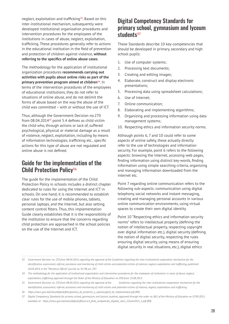neglect, exploitation and trafficking**33**. Based on this inter-institutional mechanism, subsequently were developed institutional organization procedures and intervention procedures for the employees of the institutions in cases of abuse, neglect, exploitation, trafficking. These procedures generally refer to actions in the educational institution in the field of prevention and protection of children against violence, **without referring to the specifics of online abuse cases**.

The methodology for the application of institutional organization procedures **recommends carrying out activities with pupils about online risks as part of the**  primary prevention program aimed at children<sup>34</sup>. In terms of the intervention procedures of the employees of educational institutions, they do not refer to situations of online abuse, and do not delimit the forms of abuse based on the way the abuse of the child was committed – with or without the use of ICT.

Thus, although the Government Decision no.270 from 08.04.2014**35** point 5.4 defines as child victim the child who, through actions or lack of, suffered psychological, physical or material damage as a result of violence, neglect, exploitation, including by means of information technologies, trafficking etc., specific actions for this type of abuse are not regulated and online abuse is not defined.

## Guide for the implementation of the Child Protection Policy**<sup>36</sup>**

The guide for the implementation of the Child Protection Policy in schools includes a distinct chapter dedicated to rules for using the Internet and ICT in schools. On one hand, it is recommended to establish clear rules for the use of mobile phones, tablets, personal laptops, and the Internet, but also setting content control filters. Thus, this implementation Guide clearly establishes that it is the responsibility of the institution to ensure that the concerns regarding child protection are approached in the school policies on the use of the Internet and ICT.

## Digital Competency Standards for primary school, gymnasium and lyceum students**<sup>37</sup>**

These Standards describe 10 key-competencies that should be developed in primary, secondary and high school pupils:

- 1. Use of computer systems;
- 2. Processing text documents;
- 3. Creating and editing images;
- 4. Elaborate, construct and display electronic presentations;
- 5. Processing data using spreadsheet calculations;
- 6. Use of Internet;
- 7. Online communication;
- 8. Elaborating and implementing algorithms;
- 9. Organizing and processing information using data management systems;
- 10. Respecting ethics and information security norms.

Although points 6, 7 and 10 could refer to some aspects of online safety, these actually directly refer to the use of technologies and information security. For example, point 6 refers to the following aspects: browsing the Internet, accessing web pages, finding information using distinct key-words, finding information using simple searching criteria, organizing and managing information downloaded from the internet etc.

Point 7 regarding online communication refers to the following sub-aspects: communication using digital telephony, social networks and instant messaging, creating and managing personal accounts in various online communication environments, using virtual spaces to create their own digital identity.

Point 10 "Respecting ethics and information security norms" refers to intellectual property (defining the notion of intellectual property, respecting copyright over digital information etc.), digital security (defining the notion of digital security, respecting the rules ensuring digital security, using means of ensuring digital security in real situations, etc.), digital ethics

*<sup>33</sup> Government Decision no. 270 from 08.04.2014, regarding the approval of the Guidelines regarding the inter-institutional cooperation mechanism for the*  identification, assessment, referral, assistance and monitoring of child victims and potential victims of violence, neglect, exploitation and trafficking, published *18.04.2014 in the "Monitorul Oficial" journal no. 92-98, art. 297.*

*<sup>34</sup> The methodology for the application of institutional organization and intervention procedures for the employees of institutions in cases of abuse, neglect, exploitation, trafficking approved through the Order of the Ministry of Education no. 858 from 23.08.2013.*

*<sup>35</sup> Government Decision no. 270 from 08.04.2014, regarding the approval of the Guidelines regarding the inter-institutional cooperation mechanism for the*  identification, assessment, referral, assistance and monitoring of child victims and potential victims of violence, neglect, exploitation and trafficking

*<sup>36</sup>  https://mecc.gov.md/sites/default/files/politica\_de\_protectie\_a\_copiluluighid\_de\_implementare.pdf (RO)*

*<sup>37</sup> Digital Competency Standards for primary school, gymnasium, and lyceum students, approved through the order no. 862 of the Ministry of Education on 07.09.2015, available at: https://mecc.gov.md/sites/default/files/cnc4\_final\_competente\_digitale\_elevi\_22iulie2015\_1.pdf (RO)*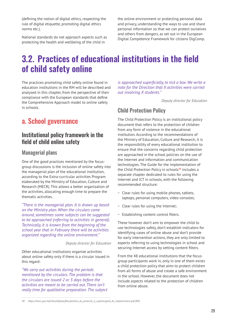(defining the notion of digital ethics, respecting the rule of digital etiquette, promoting digital ethics norms etc.).

National standards do not approach aspects such as protecting the health and wellbeing of the child in

the online environment or protecting personal data and privacy, understanding the ways to use and share personal information so that we can protect ourselves and others from dangers, as set out in the European Digital Competence Framework for citizens DigComp.

# **3.2. Practices of educational institutions in the field of child safety online**

The practices promoting child safety online found in education institutions in the RM will be described and analysed in this chapter, from the perspective of their compliance with the European standards that define the Comprehensive Approach model to online safety in schools.

## a. School governance

## Institutional policy framework in the field of child online safety

#### Managerial plans

One of the good practices mentioned by the focusgroup discussions is the inclusion of online safety into the managerial plan of the educational institution, according to the Extra-curricular activities Program elaborated by the Ministry of Education, Culture and Research (MECR). This allows a better organization of the activities, allocating enough time to prepare the thematic activities.

*"There is the managerial plan. It is drawn up based on the Ministry plan. When the circulars come around, sometimes some subjects can be suggested to be approached (referring to activities in general). Technically, it is known from the beginning of the school year that in February there will be activities organized regarding the online environment."* 

#### *Deputy director for Education*

Other educational institutions organize activities about online safety only if there is a circular issued in this regard:

*"We carry out activities during the periods mentioned by the circulars. The problem is that the circulars are issued 2 or 3 days before the activities are meant to be carried out. There isn't really time for qualitative preparation. The subject*  *is approached superficially, to tick a box. We write a note for the Direction that X activities were carried out involving X students."* 

*Deputy director for Education* 

### Child Protection Policy

The Child Protection Policy is an institutional policy document that refers to the protection of children from any form of violence in the educational institution. According to the recommendations of the Ministry of Education, Culture and Research, it is the responsibility of every educational institution to ensure that the concerns regarding child protection are approached in the school policies on the use of the Internet and information and communication technologies. The Guide for the implementation of the Child Protection Policy in schools**38** includes a separate chapter dedicated to rules for using the Internet and ICT in schools, with the following recommended structure:

- $\sim$  Clear rules for using mobile phones, tablets, laptops, personal computers, video consoles;
- ~ Clear rules for using the Internet;
- ~ Establishing content control filters.

These however don't aim to empower the child to use technologies safely, don't establish indicators for identifying cases of online abuse and don't provide for early intervention actions, they are only limited to aspects referring to using technologies in school and securing Internet access by setting content filters.

From the 48 educational institutions that the focusgroup participants work in, only in one of them exists a child protection policy that aims to protect children from all forms of abuse and create a safe environment in the school. However, the document does not include aspects related to the protection of children from online abuse.

*<sup>38</sup>  https://mecc.gov.md/sites/default/files/politica\_de\_protectie\_a\_copiluluighid\_de\_implementare.pdf (RO)*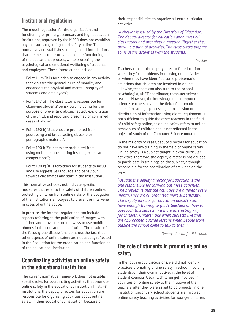## Institutional regulations

The model regulation for the organization and functioning of primary, secondary and high education institutions, approved by the MECR does not establish any measures regarding child safety online. This normative act establishes some general interdictions that are meant to ensure an adequate functioning of the educational process, while protecting the psychological and emotional wellbeing of students and employees. These interdictions include:

- $\sim$  Point 11 c) "It is forbidden to engage in any activity that violates the general rules of morality and endangers the physical and mental integrity of students and employees";
- $\sim$  Point 147 g) "The class tutor is responsible for observing students' behaviour, including for the purpose of preventing abuse, neglect, exploitation of the child; and reporting presumed or confirmed cases of abuse";
- ~ Point 190 h) "Students are prohibited from possessing and broadcasting obscene or pornographic material";
- ~ Point 190 i) "Students are prohibited from using mobile phones during lessons, exams and competitions";
- ~ Point 190 k) "It is forbidden for students to insult and use aggressive language and behaviour towards classmates and staff in the Institution".

This normative act does not indicate specific measures that refer to the safety of children online, protecting children from online risks or the obligation of the institution's employees to prevent or intervene in cases of online abuse.

In practice, the internal regulations can include aspects referring to the publication of images with children and provisions on the ways to use mobile phones in the educational institution. The results of the focus-group discussions point out the fact that other aspects of online safety are not usually reflected in the Regulation for the organization and functioning of the educational institution.

## Coordinating activities on online safety in the educational institution

The current normative framework does not establish specific roles for coordinating activities that promote online safety in the educational institution. In all 48 institutions, the deputy directors for Education are responsible for organizing activities about online safety in their educational institution, because of

their responsibilities to organize all extra-curricular activities.

*"A circular is issued by the Direction of Education. The deputy director for education announces all class tutors and organizes a meeting. Together they draw up a plan of activities. The class tutors prepare some of the activities with the students."* 

*Teacher*

Teachers consult the deputy director for education when they face problems in carrying out activities or when they have identified some problematic situations that children are involved in online. Likewise, teachers can also turn to the: school psychologist, ANET coordinator, computer science teacher. However, the knowledge that computer science teachers have in the field of automatic collection, storage, processing, transmission or distribution of information using digital equipment is not sufficient to guide the other teachers in the field of child safety online, as online safety refers to online behaviours of children and is not reflected in the object of study of the Computer Science module.

In the majority of cases, deputy directors for education do not have any training in the field of online safety. Online safety is a subject taught in extra-curricular activities, therefore, the deputy director is not obliged to participate in trainings on the subject, although responsible for the coordination of activities on the topic.

*"Usually, the deputy director for Education is the one responsible for carrying out these activities. The problem is that the activities are different every month. They are all organized more superficially. The deputy director for Education doesn't even have enough training to guide teachers on how to approach this subject in a more interesting way for children. Children like when subjects like that are approached outside lessons, when people from outside the school come to talk to them."* 

*Deputy director for Education*

## The role of students in promoting online safety

In the focus group discussions, we did not identify practices promoting online safety in school involving students, on their own initiative, at the level of student councils. Usually, children get involved in activities on online safety at the initiative of the teachers, after they were asked to do projects. In one institution, secondary school students are involved in online safety teaching activities for younger children.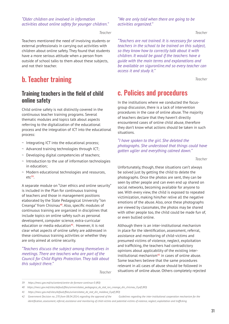#### *"Older children are involved in information activities about online safety for younger children."*

*Teacher*

Teachers mentioned the need of involving students or external professionals in carrying out activities with children about online safety. They found that students have a more serious attitude when a person from outside of school talks to them about these subjects, and not their teacher.

## b. Teacher training

### Training teachers in the field of child online safety

Child online safety is not distinctly covered in the continuous teacher training programs. Several thematic modules and topics talk about aspects referring to the digitalization of the educational process and the integration of ICT into the educational process:

- ~ Integrating ICT into the educational process;
- ~ Advanced training technologies through ICT;
- ~ Developing digital competencies of teachers;
- ~ Introduction to the use of information technologies in education;
- ~ Modern educational technologies and resources, etc**39**.

A separate module on "User ethics and online security" is included in the Plan for continuous training of teachers and those in management positions elaborated by the State Pedagogical University "Ion Creanga" from Chisinau**40**. Also, specific modules of continuous training are organized in disciplines that include topics on online safety such as personal development, computer science, extra-curricular education or media education**41**. However, it is not clear what aspects of online safety are addressed in these continuous training activities or whether they are only aimed at online security.

*"Teachers discuss the subject among themselves in meetings. There are teachers who are part of the Council for Child Rights Protection. They talk about this subject there."*

*"We are only told when there are going to be activities organized."*

*Teacher*

*"Teachers are not trained. It is necessary for several teachers in the school to be trained on this subject, so they know how to correctly talk about it with children. It would be good if the teachers have a guide with the main terms and explanations and be available on siguronline.md so every teacher can access it and study it."* 

*Teacher*

## c. Policies and procedures

In the institutions where we conducted the focusgroup discussion, there is a lack of intervention procedures in the case of online abuse. The majority of teachers declare that they haven't directly encountered cases of online child abuse, therefore they don't know what actions should be taken in such situations.

*"I have spoken to the girl. She deleted the photographs. She understood that things could have gotten uglier and everything calmed down."* 

*Teacher*

Unfortunately, though, these situations can't always be solved just by getting the child to delete the photographs. Once the photos are sent, they can be seen by other people and can even end up shared on social networks, becoming available for anyone to see. With every view, the child is exposed to repeated victimization, making him/her relive all the negative emotions of the abuse. Also, once these photographs are viewed by classmates, the photos may be shared with other people too, the child could be made fun of, or even bullied online.

Although there is an inter-institutional mechanism in place for the identification, assessment, referral, assistance and monitoring of child-victims and presumed victims of violence, neglect, exploitation and trafficking, the teachers had contradictory opinions about applicability of the existing interinstitutional mechanism**42** in cases of online abuse. Some teachers believe that the same procedures relevant in all cases of abuse should be followed in situations of online abuse. Others completely rejected

*Teacher*

*<sup>39</sup> https://mecc.gov.md/ro/content/centre-de-formare-continua-0 (RO)*

*<sup>40</sup> https://mecc.gov.md/sites/default/files/universitatea\_pedagogica\_de\_stat\_ion\_creanga\_din\_chisinau\_0.pdf (RO)*

*<sup>41</sup>  https://mecc.gov.md/sites/default/files/universitatea\_de\_stat\_din\_moldova\_0.pdf (RO)*

*<sup>42</sup> Government Decision no. 270 from 08.04.2014, regarding the approval of the Guidelines regarding the inter-institutional cooperation mechanism for the*  identification, assessment, referral, assistance and monitoring of child victims and potential victims of violence, neglect, exploitation and trafficking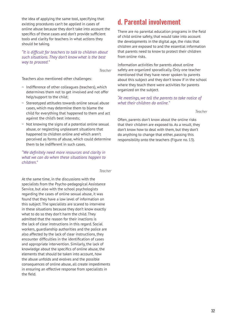the idea of applying the same tool, specifying that existing procedures can't be applied in cases of online abuse because they don't take into account the specifics of these cases and don't provide sufficient tools and clarity for teachers in what actions they should be taking.

*"It is difficult for teachers to talk to children about such situations. They don't know what is the best way to proceed."* 

*Teacher*

Teachers also mentioned other challenges:

- ~ Indifference of other colleagues (teachers), which determines them not to get involved and not offer help/support to the child;
- ~ Stereotyped attitudes towards online sexual abuse cases, which may determine them to blame the child for everything that happened to them and act against the child's best interests;
- ~ Not knowing the signs of a potential online sexual abuse, or neglecting unpleasant situations that happened to children online and which aren't perceived as forms of abuse, which could determine them to be indifferent in such cases.

*"We definitely need more resources and clarity in what we can do when these situations happen to children."* 

*Teacher*

At the same time, in the discussions with the specialists from the Psycho-pedagogical Assistance Service, but also with the school psychologists regarding the cases of online sexual abuse, it was found that they have a low level of information on this subject. The specialists are scared to intervene in these situations because they don't know exactly what to do so they don't harm the child. They admitted that the reason for their inactions is the lack of clear instructions in this regard. Social workers, guardianship authorities and the police are also affected by the lack of clear instructions, they encounter difficulties in the identification of cases and appropriate intervention. Similarly, the lack of knowledge about the specifics of online abuse, the elements that should be taken into account, how the abuse unfolds and evolves and the possible consequences of online abuse, all create impediments in ensuring an effective response from specialists in the field.

## d. Parental involvement

There are no parental education programs in the field of child online safety, that would take into account the developments in the digital age, the risks that children are exposed to and the essential information that parents need to know to protect their children from online risks.

Information activities for parents about online safety are organized sporadically. Only one teacher mentioned that they have never spoken to parents about this subject and they don't know if in the school where they teach there were activities for parents organized on the subject.

*"At meetings, we tell the parents to take notice of what their children do online."* 

*Teacher*

Often, parents don't know about the online risks that their children are exposed to. As a result, they don't know how to deal with them, but they don't do anything to change that either, passing this responsibility onto the teachers (Figure no. 13).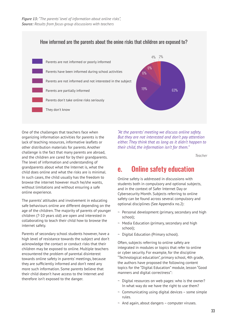

One of the challenges that teachers face when organizing information activities for parents is the lack of teaching resources, informative leaflets or other distribution materials for parents. Another challenge is the fact that many parents are abroad, and the children are cared for by their grandparents. The level of information and understanding of grandparents about what the Internet is, what the child does online and what the risks are is minimal. In such cases, the child usually has the freedom to browse the internet however much he/she wants, without limitations and without ensuring a safe online experience.

The parents' attitudes and involvement in educating safe behaviours online are different depending on the age of the children. The majority of parents of younger children (7-10 years old) are open and interested in collaborating to teach their child how to browse the internet safely.

Parents of secondary school students however, have a high level of resistance towards the subject and don't acknowledge the contact or conduct risks that their children may be exposed to online. Multiple teachers encountered the problem of parental disinterest towards online safety in parents' meetings, because they are sufficiently informed and don't need any more such information. Some parents believe that their child doesn't have access to the Internet and therefore isn't exposed to the danger.

*"At the parents' meeting we discuss online safety. But they are not interested and don't pay attention either. They think that as long as it didn't happen to their child, the information isn't for them."*

*Teacher*

## e. Online safety education

Online safety is addressed in discussions with students both in compulsory and optional subjects, and in the context of Safer Internet Day or Cybersecurity Month. Subjects referring to online safety can be found across several compulsory and optional disciplines (See Appendix no.2):

- ~ Personal development (primary, secondary and high school);
- ~ Media Education (primary, secondary and high school);
- ~ Digital Education (Primary school).

Often, subjects referring to online safety are integrated in modules or topics that refer to online or cyber security. For example, for the discipline "Technological education", primary school, 4th grade, the authors have proposed the following content topics for the "Digital Education" module, lesson "Good manners and digital correctness":

- $\sim$  Digital resources on web pages: who is the owner? In what way do we have the right to use them?
- $\sim$  Communicating using digital devices some simple rules.
- $\sim$  And again, about dangers computer viruses.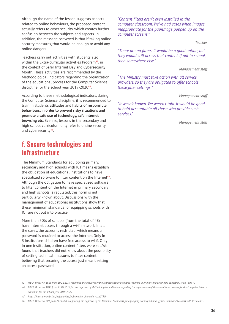Although the name of the lesson suggests aspects related to online behaviours, the proposed content actually refers to cyber security, which creates further confusion between the subjects and aspects. In addition, the message conveyed is that if taking online security measures, that would be enough to avoid any online dangers.

Teachers carry out activities with students also within the Extra-curricular activities Program**43**, in the context of Safer Internet Day and Cybersecurity Month. These activities are recommended by the Methodological indicators regarding the organization of the educational process for the Computer Science discipline for the school year 2019-2020**44**.

According to these methodological indicators, during the Computer Science discipline, it is recommended to train in students **attitudes and habits of responsible behaviours, in order to prevent risky situations and promote a safe use of technology, safe Internet browsing etc.** Even so, lessons in the secondary and high school curriculum only refer to online security and cybersecurity**45**.

## f. Secure technologies and infrastructure

The Minimum Standards for equipping primary, secondary and high schools with ICT means establish the obligation of educational institutions to have specialized software to filter content on the Internet**46**. Although the obligation to have specialized software to filter content on the Internet in primary, secondary and high schools is regulated, this norm is not particularly known about. Discussions with the management of educational institutions show that these minimum standards for equipping schools with ICT are not put into practice.

More than 50% of schools (from the total of 48) have internet access through a wi-fi network. In all the cases, the access is restricted, which means a password is required to access the internet. Only in 3 institutions children have free access to wi-fi. Only in one institution, online content filters were set. We found that teachers did not know about the possibility of setting technical measures to filter content, believing that securing the access just meant setting an access password.

*"Content filters aren't even installed in the computer classroom. We've had cases when images inappropriate for the pupils' age popped up on the computer screens."* 

*Teacher*

*"There are no filters. It would be a good option, but they would still access that content, if not in school, then somewhere else."* 

*Management staff*

*"The Ministry must take action with all service providers, so they are obligated to offer schools these filter settings."*

*Management staff*

*"It wasn't known. We weren't told. It would be good to hold accountable all those who provide such services."* 

*Management staff*

*<sup>43</sup> MECR Order no. 1619 from 10.12.2019 regarding the approval of the Extracurricular activities Program in primary and secondary education, cycle I and II.*

*<sup>44</sup> MECR Order no. 1046 from 21.08.2019 for the approval of Methodological Indicators regarding the organization of the educational process for the Computer Science discipline for the school year 2019-2020.*

*<sup>45</sup>  https://mecc.gov.md/sites/default/files/informatica\_gimnaziu\_ro.pdf (RO)*

*<sup>46</sup> MECR Order no. 581 from 24.06.2015 regarding the approval of the Minimum Standards for equipping primary schools, gymnasiums and lyceums with ICT means.*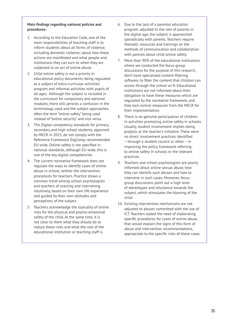#### **Main findings regarding national policies and procedures:**

- 1. According to the Education Code, one of the main responsibilities of teaching staff is to inform students about all forms of violence, including domestic violence; about how these actions are manifested and what people and institutions they can turn to when they are subjected to an act of online abuse.
- 2. Child online safety is not a priority in educational policy documents, being regulated as a subject of extra-curricular activities' program and informal activities with pupils of all ages. Although the subject is included in the curriculum for compulsory and optional modules, there still persists a confusion in the terminology used and the subject approaches, often the term "online safety" being used instead of "online security" and vice versa.
- 3. The Digital competency standards for primary, secondary and high school students, approved by MECR in 2015, do not comply with the Reference Framework DigComp, recommended EU-wide. Online safety is not specified in national standards, although EU-wide, this is one of the key digital competencies.
- 4. The current normative framework does not regulate the ways to identify cases of online abuse in school, neither the intervention procedures for teachers. Practice shows a common trend among school psychologists and teachers of reacting and intervening intuitively, based on their own life experience and guided by their own attitudes and perceptions of the subject.
- 5. Teachers acknowledge the topicality of online risks for the physical and psycho-emotional safety of the child. At the same time, it is not clear to them what they should do to reduce these risks and what the role of the educational institution or teaching staff is.
- 6. Due to the lack of a parental education program, adjusted to the role of parents in the digital age, the subject is approached sporadically with parents. Teachers require thematic resources and trainings on the methods of communication and collaboration with parents about child online safety.
- 7. More than 90% of the educational institutions where we conducted the focus-group discussions for the purpose of this research, don't have specialized content filtering software, to filter the content that children can access through the school wi-fi. Educational institutions are not informed about their obligation to have these measures which are regulated by the normative framework, and they lack control measures from the MECR for their implementation.
- 8. There is no genuine participation of children in activities promoting online safety in schools. Usually, student involvement implies doing projects at the teacher's initiative. There were no direct involvement practices identified – through a student council or other – in improving the policy framework referring to online safety in schools or the relevant practices.
- 9. Teachers and school psychologists are poorly informed about online sexual abuse, how they can identify such abuses and how to intervene in such cases. Moreover, focusgroup discussions point out a high level of stereotypes and reluctance towards the subject, which stimulates the blaming of the child.
- 10. Existing intervention mechanisms are not adjusted to abuses committed with the use of ICT. Teachers stated the need of elaborating specific procedures for cases of online abuse, that would explain the signs of this form of abuse and intervention recommendations, appropriate to the specific risks of these cases.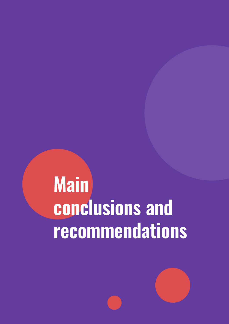# **Main conclusions and recommendations**

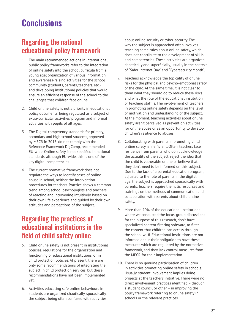## **Conclusions**

## Regarding the national educational policy framework

- 1. The main recommended actions in international public policy frameworks refer to the integration of online safety into the school curricula from a young age; organization of various information and awareness-raising activities for the school community (students, parents, teachers, etc.) and developing institutional policies that would ensure an efficient response of the school to the challenges that children face online.
- 2. Child online safety is not a priority in educational policy documents, being regulated as a subject of extra-curricular activities' program and informal activities with pupils of all ages.
- 3. The Digital competency standards for primary, secondary and high school students, approved by MECR in 2015, do not comply with the Reference Framework DigComp, recommended EU-wide. Online safety is not specified in national standards, although EU-wide, this is one of the key digital competencies.
- 4. The current normative framework does not regulate the ways to identify cases of online abuse in school, neither the intervention procedures for teachers. Practice shows a common trend among school psychologists and teachers of reacting and intervening intuitively, based on their own life experience and guided by their own attitudes and perceptions of the subject.

## Regarding the practices of educational institutions in the field of child safety online

- 5. Child online safety is not present in institutional policies, regulations for the organization and functioning of educational institutions, or in child protection policies. At present, there are only some recommendations of integrating the subject in child protection services, but these recommendations have not been implemented yet.
- 6. Activities educating safe online behaviours in students are organized chaotically, sporadically, the subject being often confused with activities

about online security or cyber-security. The way the subject is approached often involves teaching some rules about online safety, which does not contribute to the development of skills and competencies. These activities are organized chaotically and superficially, usually in the context of "Safer Internet Day" and "Cybersecurity Month".

- 7. Teachers acknowledge the topicality of online risks for the physical and psycho-emotional safety of the child. At the same time, it is not clear to them what they should do to reduce these risks and what the role of the educational institution or teaching staff is. The involvement of teachers in promoting online safety depends on the level of motivation and understanding of the subject. At the moment, teaching activities about online safety aren't perceived as prevention activities for online abuse or as an opportunity to develop children's resilience to abuses.
- 8. Collaborating with parents in promoting child online safety is inefficient. Often, teachers face resilience from parents who don't acknowledge the actuality of the subject, reject the idea that the child is vulnerable online or believe that they don't need to be informed on this subject. Due to the lack of a parental education program, adjusted to the role of parents in the digital age, the subject is approached sporadically with parents. Teachers require thematic resources and trainings on the methods of communication and collaboration with parents about child online safety.
- 9. More than 90% of the educational institutions where we conducted the focus-group discussions for the purpose of this research, don't have specialized content filtering software, to filter the content that children can access through the school wi-fi. Educational institutions are not informed about their obligation to have these measures which are regulated by the normative framework, and they lack control measures from the MECR for their implementation.
- 10. There is no genuine participation of children in activities promoting online safety in schools. Usually, student involvement implies doing projects at the teacher's initiative. There were no direct involvement practices identified – through a student council or other – in improving the policy framework referring to online safety in schools or the relevant practices.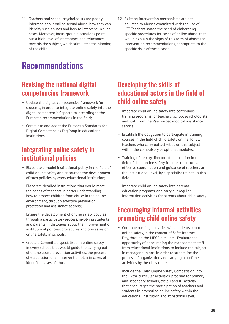11. Teachers and school psychologists are poorly informed about online sexual abuse, how they can identify such abuses and how to intervene in such cases. Moreover, focus-group discussions point out a high level of stereotypes and reluctance towards the subject, which stimulates the blaming of the child.

# **Recommendations**

## Revising the national digital competencies framework

- ~ Update the digital competencies framework for students, in order to integrate online safety into the digital competencies' spectrum, according to the European recommendations in the field;
- ~ Commit to and adopt the European Standards for Digital Competencies DigComp in educational institutions.

## Integrating online safety in institutional policies

- $\sim$  Elaborate a model institutional policy in the field of child online safety and encourage the development of such policies by every educational institution;
- $\sim$  Elaborate detailed instructions that would meet the needs of teachers in better understanding how to protect children from abuse in the online environment, through effective prevention, protection and assistance actions;
- $\sim$  Ensure the development of online safety policies through a participatory process, involving students and parents in dialogues about the improvement of institutional policies, procedures and processes on online safety in schools;
- $\sim$  Create a Committee specialised in online safety in every school, that would guide the carrying out of online abuse prevention activities, the process of elaboration of an intervention plan in cases of identified cases of abuse etc.

12. Existing intervention mechanisms are not adjusted to abuses committed with the use of ICT. Teachers stated the need of elaborating specific procedures for cases of online abuse, that would explain the signs of this form of abuse and intervention recommendations, appropriate to the specific risks of these cases.

## Developing the skills of educational actors in the field of child online safety

- $\sim$  Integrate child online safety into continuous training programs for teachers, school psychologists and staff from the Psycho-pedagogical assistance service;
- $\sim$  Establish the obligation to participate in training courses in the field of child safety online, for all teachers who carry out activities on this subject within the compulsory or optional modules;
- ~ Training of deputy directors for education in the field of child online safety, in order to ensure an effective coordination and guidance of teachers at the institutional level, by a specialist trained in this field;
- $\sim$  Integrate child online safety into parental education programs, and carry out regular information activities for parents about child safety.

## Encouraging informal activities promoting child online safety

- $\sim$  Continue running activities with students about online safety, in the context of Safer Internet Day, through the MECR circulars. Evaluate the opportunity of encouraging the management staff from educational institutions to include the subject in managerial plans, in order to streamline the process of organization and carrying out of the activities by the class tutors;
- ~ Include the Child Online Safety Competition into the Extra-curricular activities' program for primary and secondary schools, cycle I and II - activity that encourages the participation of teachers and students in promoting online safety within the educational institution and at national level.